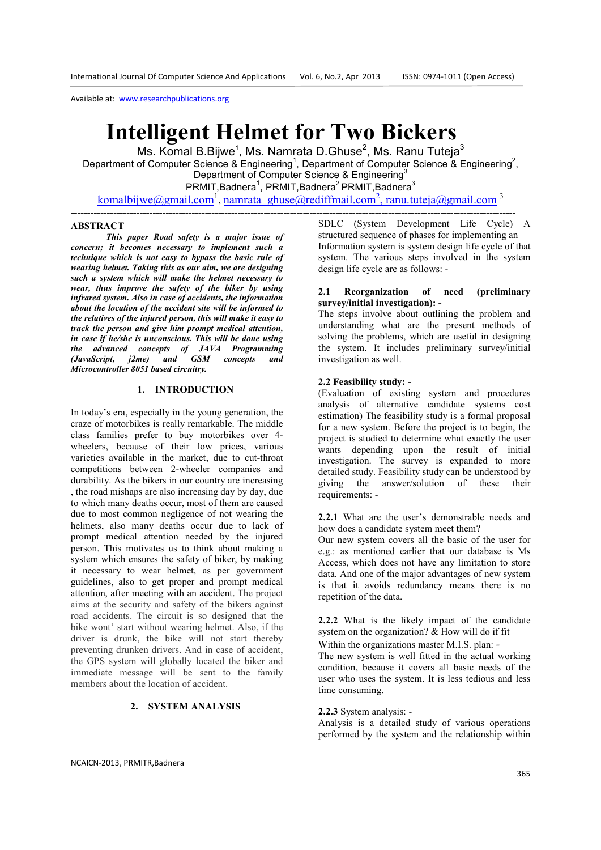# **Intelligent Helmet for Two Bickers**

Ms. Komal B.Bijwe<sup>1</sup>, Ms. Namrata D.Ghuse<sup>2</sup>, Ms. Ranu Tuteja<sup>3</sup> Department of Computer Science & Engineering<sup>1</sup>, Department of Computer Science & Engineering<sup>2</sup>, Department of Computer Science & Engineering<sup>3</sup> PRMIT, Badnera<sup>1</sup>, PRMIT, Badnera<sup>2</sup> PRMIT, Badnera<sup>3</sup>

komalbijwe@gmail.com<sup>1</sup>, namrata\_ghuse@rediffmail.com<sup>2</sup>, ranu.tuteja@gmail.com<sup>3</sup>

### **ABSTRACT**

*This paper Road safety is a major issue of concern; it becomes necessary to implement such a technique which is not easy to bypass the basic rule of wearing helmet. Taking this as our aim, we are designing such a system which will make the helmet necessary to wear, thus improve the safety of the biker by using infrared system. Also in case of accidents, the information about the location of the accident site will be informed to the relatives of the injured person, this will make it easy to track the person and give him prompt medical attention, in case if he/she is unconscious. This will be done using the advanced concepts of JAVA Programming (JavaScript, j2me) and GSM concepts and Microcontroller 8051 based circuitry.* 

## **1. INTRODUCTION**

In today's era, especially in the young generation, the craze of motorbikes is really remarkable. The middle class families prefer to buy motorbikes over 4 wheelers, because of their low prices, various varieties available in the market, due to cut-throat competitions between 2-wheeler companies and durability. As the bikers in our country are increasing , the road mishaps are also increasing day by day, due to which many deaths occur, most of them are caused due to most common negligence of not wearing the helmets, also many deaths occur due to lack of prompt medical attention needed by the injured person. This motivates us to think about making a system which ensures the safety of biker, by making it necessary to wear helmet, as per government guidelines, also to get proper and prompt medical attention, after meeting with an accident. The project aims at the security and safety of the bikers against road accidents. The circuit is so designed that the bike wont' start without wearing helmet. Also, if the driver is drunk, the bike will not start thereby preventing drunken drivers. And in case of accident, the GPS system will globally located the biker and immediate message will be sent to the family members about the location of accident.

## **2. SYSTEM ANALYSIS**

**----------------------------------------------------------------------------------------------------------------------------------------** SDLC (System Development Life Cycle) A structured sequence of phases for implementing an Information system is system design life cycle of that system. The various steps involved in the system design life cycle are as follows: -

## **2.1 Reorganization of need (preliminary survey/initial investigation): -**

The steps involve about outlining the problem and understanding what are the present methods of solving the problems, which are useful in designing the system. It includes preliminary survey/initial investigation as well.

#### **2.2 Feasibility study: -**

(Evaluation of existing system and procedures analysis of alternative candidate systems cost estimation) The feasibility study is a formal proposal for a new system. Before the project is to begin, the project is studied to determine what exactly the user wants depending upon the result of initial investigation. The survey is expanded to more detailed study. Feasibility study can be understood by giving the answer/solution of these their requirements: -

**2.2.1** What are the user's demonstrable needs and how does a candidate system meet them?

Our new system covers all the basic of the user for e.g.: as mentioned earlier that our database is Ms Access, which does not have any limitation to store data. And one of the major advantages of new system is that it avoids redundancy means there is no repetition of the data.

**2.2.2** What is the likely impact of the candidate system on the organization? & How will do if fit

Within the organizations master M.I.S. plan: *-* 

The new system is well fitted in the actual working condition, because it covers all basic needs of the user who uses the system. It is less tedious and less time consuming.

#### **2.2.3** System analysis: -

Analysis is a detailed study of various operations performed by the system and the relationship within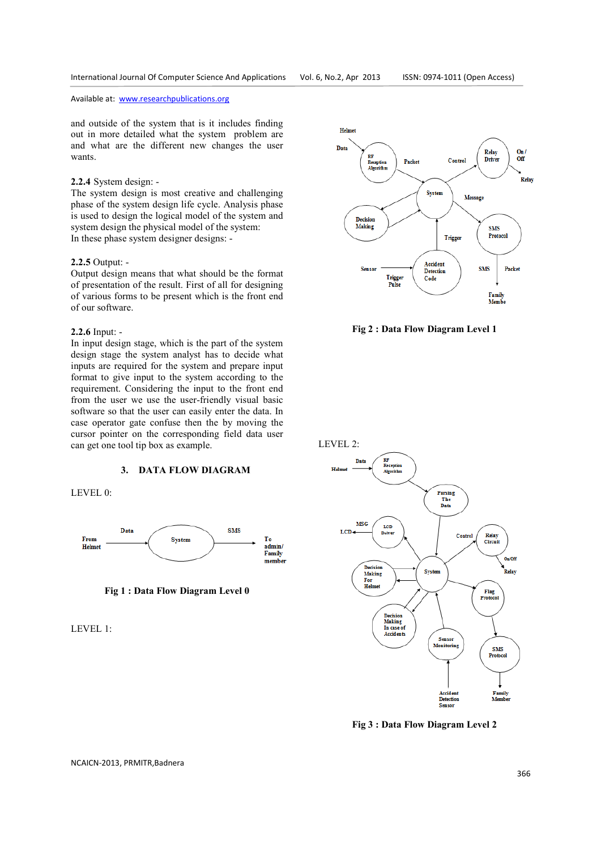and outside of the system that is it includes finding out in more detailed what the system problem are and what are the different new changes the user wants.

## **2.2.4** System design: -

The system design is most creative and challenging phase of the system design life cycle. Analysis phase is used to design the logical model of the system and system design the physical model of the system: In these phase system designer designs: -

## **2.2.5** Output: -

Output design means that what should be the format of presentation of the result. First of all for designing of various forms to be present which is the front end of our software.

#### **2.2.6** Input: -

In input design stage, which is the part of the system design stage the system analyst has to decide what inputs are required for the system and prepare input format to give input to the system according to the requirement. Considering the input to the front end from the user we use the user-friendly visual basic software so that the user can easily enter the data. In case operator gate confuse then the by moving the cursor pointer on the corresponding field data user can get one tool tip box as example.

### **3. DATA FLOW DIAGRAM**





**Fig 1 : Data Flow Diagram Level 0** 

LEVEL 1:



**Fig 2 : Data Flow Diagram Level 1** 



LEVEL 2:



**Fig 3 : Data Flow Diagram Level 2** 

NCAICN-2013, PRMITR,Badnera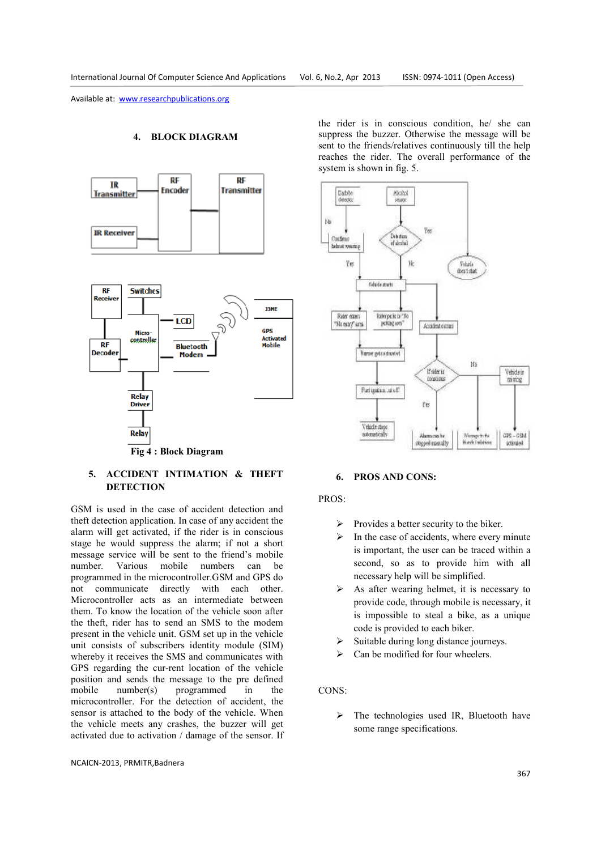### **4. BLOCK DIAGRAM**





# **5. ACCIDENT INTIMATION & THEFT DETECTION**

GSM is used in the case of accident detection and theft detection application. In case of any accident the alarm will get activated, if the rider is in conscious stage he would suppress the alarm; if not a short message service will be sent to the friend's mobile number. Various mobile numbers can be programmed in the microcontroller.GSM and GPS do not communicate directly with each other. Microcontroller acts as an intermediate between them. To know the location of the vehicle soon after the theft, rider has to send an SMS to the modem present in the vehicle unit. GSM set up in the vehicle unit consists of subscribers identity module (SIM) whereby it receives the SMS and communicates with GPS regarding the cur-rent location of the vehicle position and sends the message to the pre defined mobile number(s) programmed in the microcontroller. For the detection of accident, the sensor is attached to the body of the vehicle. When the vehicle meets any crashes, the buzzer will get activated due to activation / damage of the sensor. If

NCAICN-2013, PRMITR,Badnera

the rider is in conscious condition, he/ she can suppress the buzzer. Otherwise the message will be sent to the friends/relatives continuously till the help reaches the rider. The overall performance of the system is shown in fig. 5.



## **6. PROS AND CONS:**

## PROS:

- $\triangleright$  Provides a better security to the biker.
- $\triangleright$  In the case of accidents, where every minute is important, the user can be traced within a second, so as to provide him with all necessary help will be simplified.
- As after wearing helmet, it is necessary to provide code, through mobile is necessary, it is impossible to steal a bike, as a unique code is provided to each biker.
- Suitable during long distance journeys.
- Can be modified for four wheelers.

# CONS:

 $\triangleright$  The technologies used IR, Bluetooth have some range specifications.